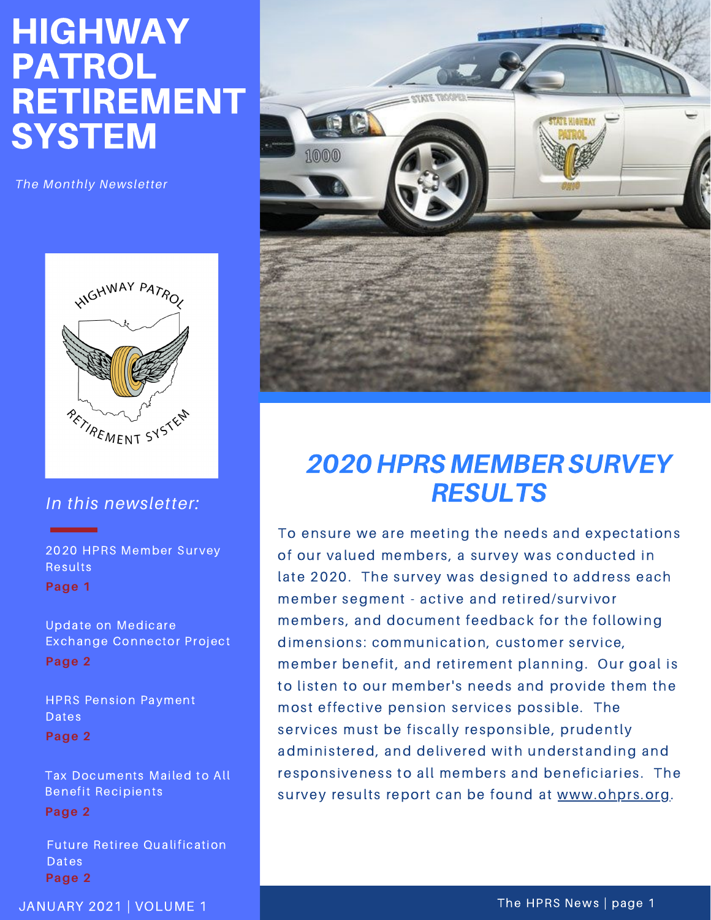# HIGHWAY PATROL RETIREMENT **SYSTEM**

*The Monthly Newsletter*



#### *In this newsletter:*

2020 HPRS Member Survey Results **Page 1**

Update on Medicare Exchange Connector Project **Page 2**

HPRS Pension Payment Dates **Page 2**

Tax Documents Mailed to All Benefit Recipients **Page 2**

Future Retiree Qualification Dates **Page 2**



## 2020 HPRS MEMBERSURVEY **RESULTS**

To ensure we are meeting the needs and expectations of our valued members, a survey was conducted in late 2020. The survey was designed to address each member segment - active and retired/survivor members, and document feedback for the following dimensions: communication, customer service, member benefit, and retirement planning. Our goal is to listen to our member's needs and provide them the most effective pension services possible. The services must be fiscally responsible, prudently administered, and delivered with understanding and responsiveness to all members and beneficiaries. The survey results report can be found at [www.ohprs.org.](http://www.ohprs.org/)